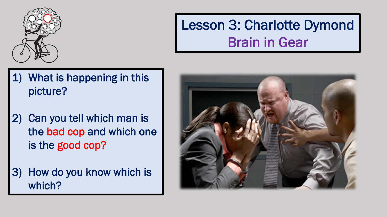

#### Lesson 3: Charlotte Dymond Brain in Gear

- 1) What is happening in this picture?
- 2) Can you tell which man is the bad cop and which one is the good cop?
- 3) How do you know which is which?

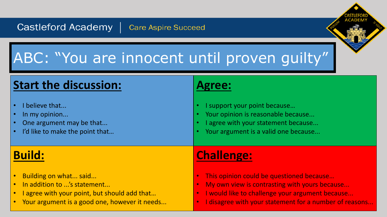#### ABC: "You are innocent until proven guilty"

#### **Start the discussion:** • I believe that... In my opinion... One argument may be that... I'd like to make the point that... **Agree:** • I support your point because… Your opinion is reasonable because... I agree with your statement because... Your argument is a valid one because... **Build:** • Building on what... said... • In addition to ...'s statement... • I agree with your point, but should add that… • Your argument is a good one, however it needs... **Challenge:** • This opinion could be questioned because… My own view is contrasting with yours because... • I would like to challenge your argument because... • I disagree with your statement for a number of reasons...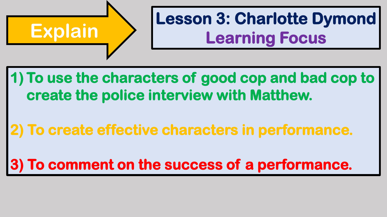

# **Lesson 3: Charlotte Dymond<br>
Learning Focus**

#### **1) To use the characters of good cop and bad cop to create the police interview with Matthew.**

#### **2) To create effective characters in performance.**

#### **3) To comment on the success of a performance.**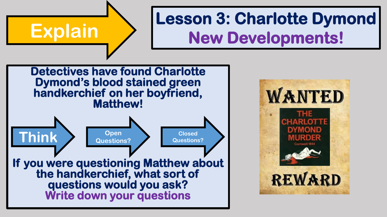#### **Lesson 3: Charlotte Dymond<br>
Explain Mew Developments! Detectives have found Charlotte Dymond's blood stained green handkerchief on her boyfriend, Matthew! If you were questioning Matthew about the handkerchief, what sort of questions would you ask? Think Closed Questions? Closed Question Questions? Open Questions?**

**Write down your questions**

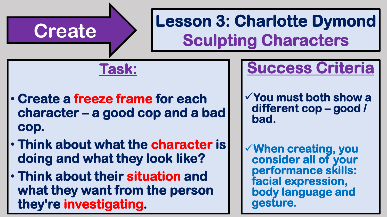# **Create Lesson 3: Charlotte Dymond Sculpting Characters**

**Task:**

- **Create a freeze frame for each character – a good cop and a bad cop.**
- **Think about what the character is doing and what they look like?**
- **Think about their situation and what they want from the person they're investigating.**

#### **Success Criteria**

- ✓**You must both show a different cop – good / bad.**
- ✓**When creating, you consider all of your performance skills: facial expression, body language and gesture.**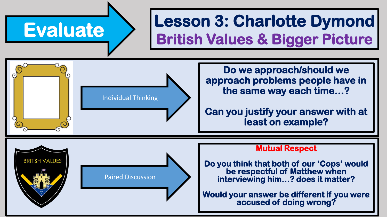**BRITISH VALUES** 

### **Evaluate Lesson 3: Charlotte Dymond British Values & Bigger Picture**

Individual Thinking

Paired Discussion

**Do we approach/should we approach problems people have in the same way each time…?**

**Can you justify your answer with at least on example?**

#### **Mutual Respect**

**Do you think that both of our 'Cops' would be respectful of Matthew when interviewing him…? does it matter?**

**Would your answer be different if you were accused of doing wrong?**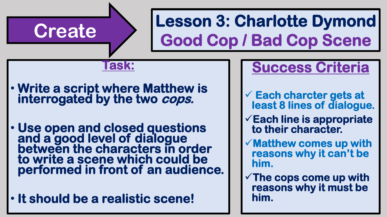# **Create Lesson 3: Charlotte Dymond Good Cop / Bad Cop Scene**

#### **Task:**

- **Write a script where Matthew is interrogated by the two cops.**
- **Use open and closed questions and a good level of dialogue between the characters in order to write a scene which could be performed in front of an audience.**
- **It should be a realistic scene!**

#### **Success Criteria**

- ✓ **Each charcter gets at least 8 lines of dialogue.**
- ✓**Each line is appropriate to their character.**
- ✓**Matthew comes up with reasons why it can't be him.**
- ✓**The cops come up with reasons why it must be him.**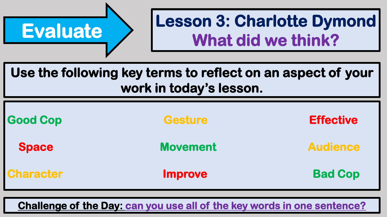

### **Evaluate Lesson 3: Charlotte Dymond What did we think?**

**Use the following key terms to reflect on an aspect of your work in today's lesson.**

| <b>Good Cop</b>  | <b>Gesture</b>  | <b>Effective</b> |
|------------------|-----------------|------------------|
| <b>Space</b>     | <b>Movement</b> | <b>Audience</b>  |
| <b>Character</b> | <b>Improve</b>  | <b>Bad Cop</b>   |

**Challenge of the Day: can you use all of the key words in one sentence?**